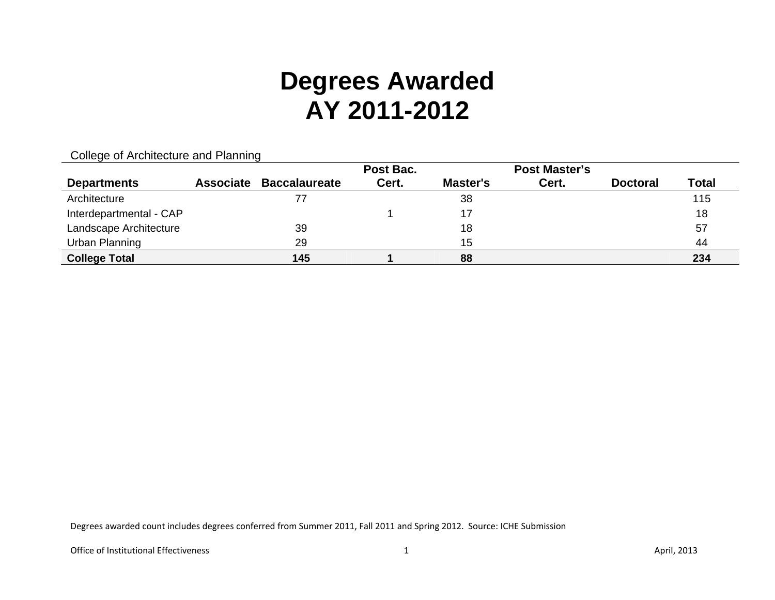|                         |                  |                      | Post Bac. |          | <b>Post Master's</b> |                 |              |
|-------------------------|------------------|----------------------|-----------|----------|----------------------|-----------------|--------------|
| <b>Departments</b>      | <b>Associate</b> | <b>Baccalaureate</b> | Cert.     | Master's | Cert.                | <b>Doctoral</b> | <b>Total</b> |
| Architecture            |                  | 77                   |           | 38       |                      |                 | 115          |
| Interdepartmental - CAP |                  |                      |           | 17       |                      |                 | 18           |
| Landscape Architecture  |                  | 39                   |           | 18       |                      |                 | 57           |
| Urban Planning          |                  | 29                   |           | 15       |                      |                 | 44           |
| <b>College Total</b>    |                  | 145                  |           | 88       |                      |                 | 234          |

### College of Architecture and Planning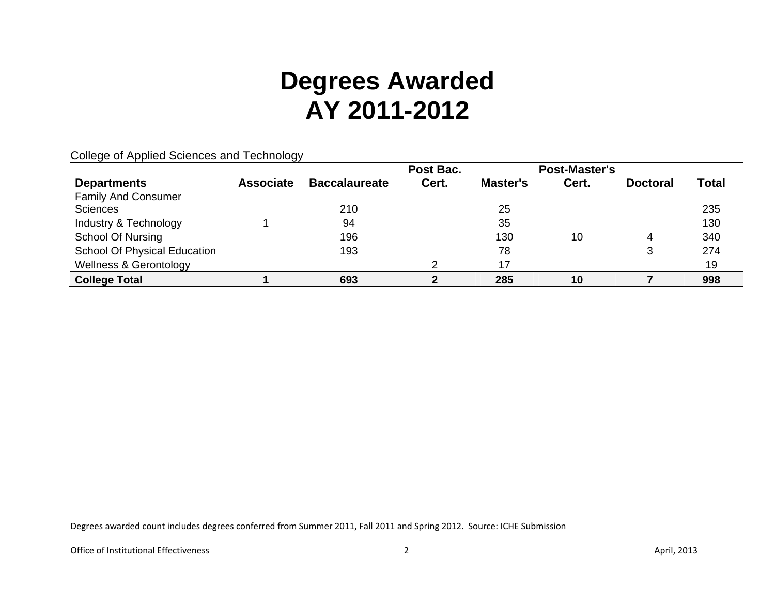|                                     | ້                |                      | Post Bac. |          | <b>Post-Master's</b> |                 |              |
|-------------------------------------|------------------|----------------------|-----------|----------|----------------------|-----------------|--------------|
| <b>Departments</b>                  | <b>Associate</b> | <b>Baccalaureate</b> | Cert.     | Master's | Cert.                | <b>Doctoral</b> | <b>Total</b> |
| <b>Family And Consumer</b>          |                  |                      |           |          |                      |                 |              |
| <b>Sciences</b>                     |                  | 210                  |           | 25       |                      |                 | 235          |
| Industry & Technology               |                  | 94                   |           | 35       |                      |                 | 130          |
| <b>School Of Nursing</b>            |                  | 196                  |           | 130      | 10                   | 4               | 340          |
| <b>School Of Physical Education</b> |                  | 193                  |           | 78       |                      | 3               | 274          |
| <b>Wellness &amp; Gerontology</b>   |                  |                      |           | 17       |                      |                 | 19           |
| <b>College Total</b>                |                  | 693                  |           | 285      | 10                   |                 | 998          |

College of Applied Sciences and Technology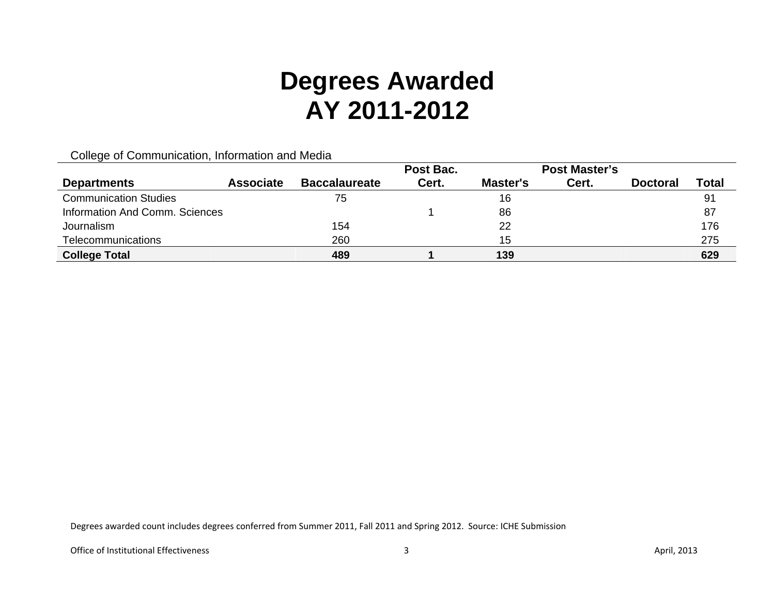College of Communication, Information and Media

|                                |                  |                      | Post Bac. |          | <b>Post Master's</b> |                 |       |
|--------------------------------|------------------|----------------------|-----------|----------|----------------------|-----------------|-------|
| <b>Departments</b>             | <b>Associate</b> | <b>Baccalaureate</b> | Cert.     | Master's | Cert.                | <b>Doctoral</b> | Total |
| <b>Communication Studies</b>   |                  | 75                   |           | 16       |                      |                 | 91    |
| Information And Comm. Sciences |                  |                      |           | 86       |                      |                 | 87    |
| Journalism                     |                  | 154                  |           | 22       |                      |                 | 176   |
| Telecommunications             |                  | 260                  |           | 15       |                      |                 | 275   |
| <b>College Total</b>           |                  | 489                  |           | 139      |                      |                 | 629   |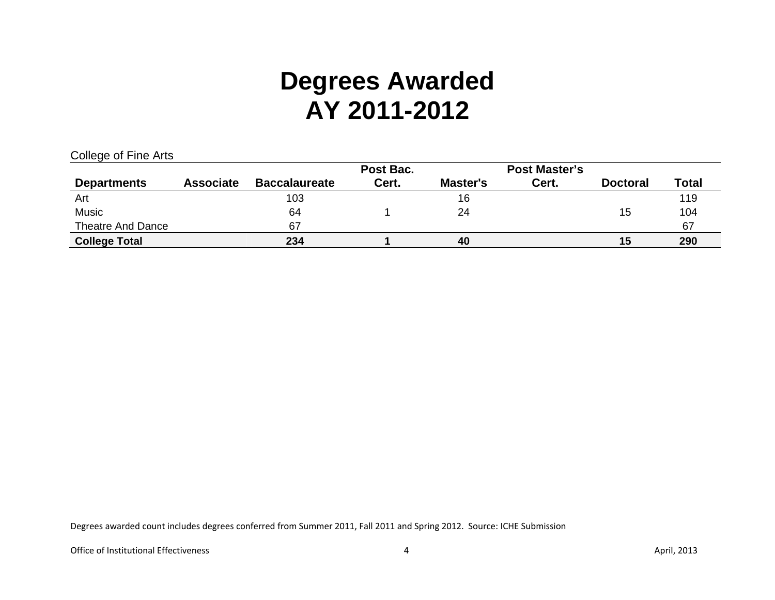| College of Fine Arts |  |  |
|----------------------|--|--|
|                      |  |  |

|                          |                  |                      | Post Bac. |          | <b>Post Master's</b> |                 |              |
|--------------------------|------------------|----------------------|-----------|----------|----------------------|-----------------|--------------|
| <b>Departments</b>       | <b>Associate</b> | <b>Baccalaureate</b> | Cert.     | Master's | Cert.                | <b>Doctoral</b> | <b>Total</b> |
| Art                      |                  | 103                  |           | 16       |                      |                 | 119          |
| <b>Music</b>             |                  | 64                   |           | 24       |                      | 15              | 104          |
| <b>Theatre And Dance</b> |                  | 67                   |           |          |                      |                 | 67           |
| <b>College Total</b>     |                  | 234                  |           | 40       |                      | 15              | 290          |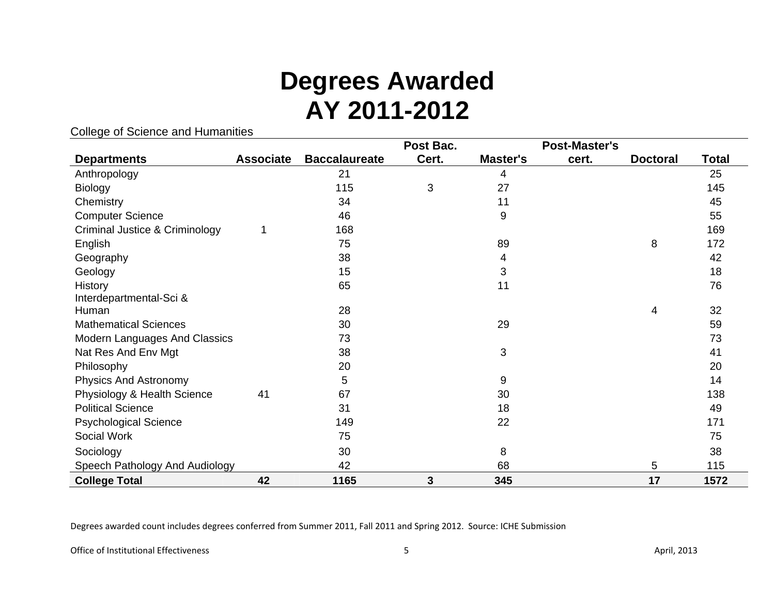#### College of Science and Humanities

|                                      |                  |                      | Post Bac. |          | <b>Post-Master's</b> |                 |       |
|--------------------------------------|------------------|----------------------|-----------|----------|----------------------|-----------------|-------|
| <b>Departments</b>                   | <b>Associate</b> | <b>Baccalaureate</b> | Cert.     | Master's | cert.                | <b>Doctoral</b> | Total |
| Anthropology                         |                  | 21                   |           | 4        |                      |                 | 25    |
| <b>Biology</b>                       |                  | 115                  | 3         | 27       |                      |                 | 145   |
| Chemistry                            |                  | 34                   |           | 11       |                      |                 | 45    |
| <b>Computer Science</b>              |                  | 46                   |           | 9        |                      |                 | 55    |
| Criminal Justice & Criminology       |                  | 168                  |           |          |                      |                 | 169   |
| English                              |                  | 75                   |           | 89       |                      | 8               | 172   |
| Geography                            |                  | 38                   |           | 4        |                      |                 | 42    |
| Geology                              |                  | 15                   |           | 3        |                      |                 | 18    |
| <b>History</b>                       |                  | 65                   |           | 11       |                      |                 | 76    |
| Interdepartmental-Sci &              |                  |                      |           |          |                      |                 |       |
| Human                                |                  | 28                   |           |          |                      | 4               | 32    |
| <b>Mathematical Sciences</b>         |                  | 30                   |           | 29       |                      |                 | 59    |
| <b>Modern Languages And Classics</b> |                  | 73                   |           |          |                      |                 | 73    |
| Nat Res And Env Mgt                  |                  | 38                   |           | 3        |                      |                 | 41    |
| Philosophy                           |                  | 20                   |           |          |                      |                 | 20    |
| <b>Physics And Astronomy</b>         |                  | 5                    |           | 9        |                      |                 | 14    |
| Physiology & Health Science          | 41               | 67                   |           | 30       |                      |                 | 138   |
| <b>Political Science</b>             |                  | 31                   |           | 18       |                      |                 | 49    |
| <b>Psychological Science</b>         |                  | 149                  |           | 22       |                      |                 | 171   |
| Social Work                          |                  | 75                   |           |          |                      |                 | 75    |
| Sociology                            |                  | 30                   |           | 8        |                      |                 | 38    |
| Speech Pathology And Audiology       |                  | 42                   |           | 68       |                      | 5               | 115   |
| <b>College Total</b>                 | 42               | 1165                 | 3         | 345      |                      | 17              | 1572  |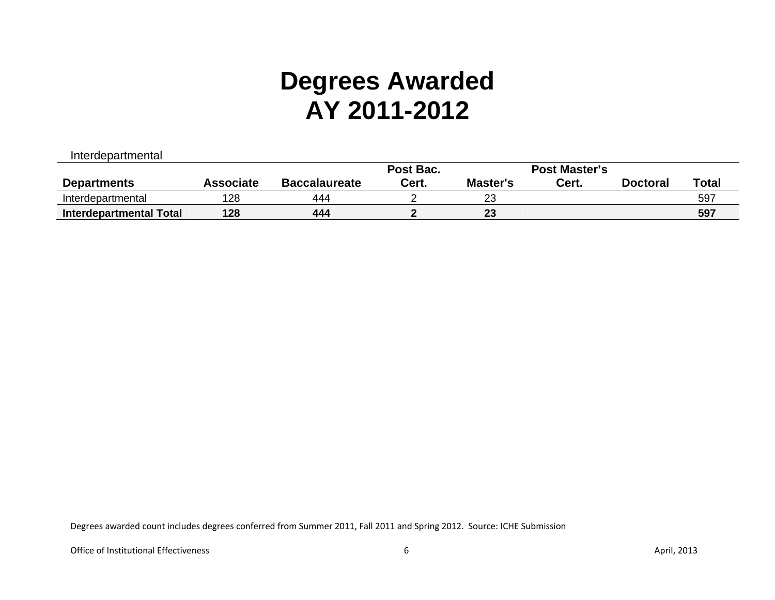| Interdepartmental       |                  |                      |           |          |                      |                 |              |
|-------------------------|------------------|----------------------|-----------|----------|----------------------|-----------------|--------------|
|                         |                  |                      | Post Bac. |          | <b>Post Master's</b> |                 |              |
| <b>Departments</b>      | <b>Associate</b> | <b>Baccalaureate</b> | Cert.     | Master's | Cert.                | <b>Doctoral</b> | <b>Total</b> |
| Interdepartmental       | 128              | 444                  |           | 23       |                      |                 | 597          |
| Interdepartmental Total | 128              | 444                  |           | 23       |                      |                 | 597          |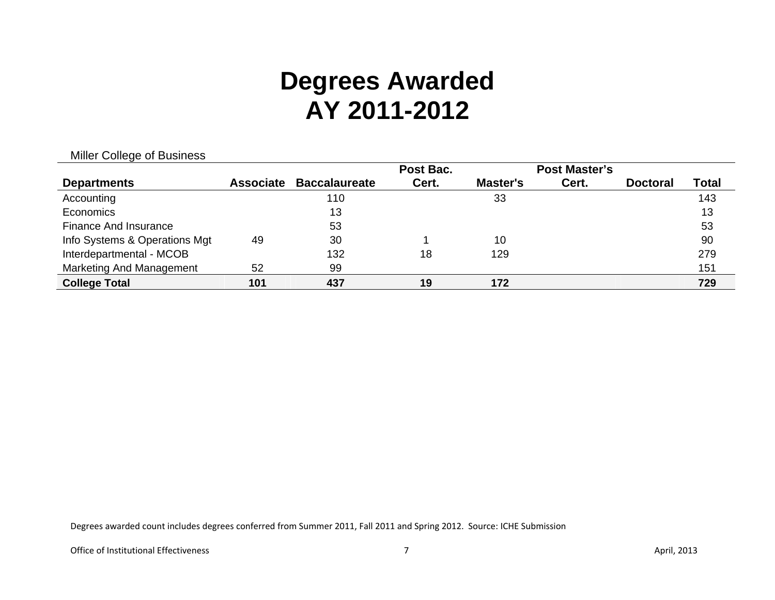|  |  | Miller College of Business |
|--|--|----------------------------|
|  |  |                            |

|                               |                  |                      | Post Bac. |                 | <b>Post Master's</b> |                 |       |
|-------------------------------|------------------|----------------------|-----------|-----------------|----------------------|-----------------|-------|
| <b>Departments</b>            | <b>Associate</b> | <b>Baccalaureate</b> | Cert.     | <b>Master's</b> | Cert.                | <b>Doctoral</b> | Total |
| Accounting                    |                  | 110                  |           | 33              |                      |                 | 143   |
| Economics                     |                  | 13                   |           |                 |                      |                 | 13    |
| Finance And Insurance         |                  | 53                   |           |                 |                      |                 | 53    |
| Info Systems & Operations Mgt | 49               | 30                   |           | 10              |                      |                 | 90    |
| Interdepartmental - MCOB      |                  | 132                  | 18        | 129             |                      |                 | 279   |
| Marketing And Management      | 52               | 99                   |           |                 |                      |                 | 151   |
| <b>College Total</b>          | 101              | 437                  | 19        | 172             |                      |                 | 729   |